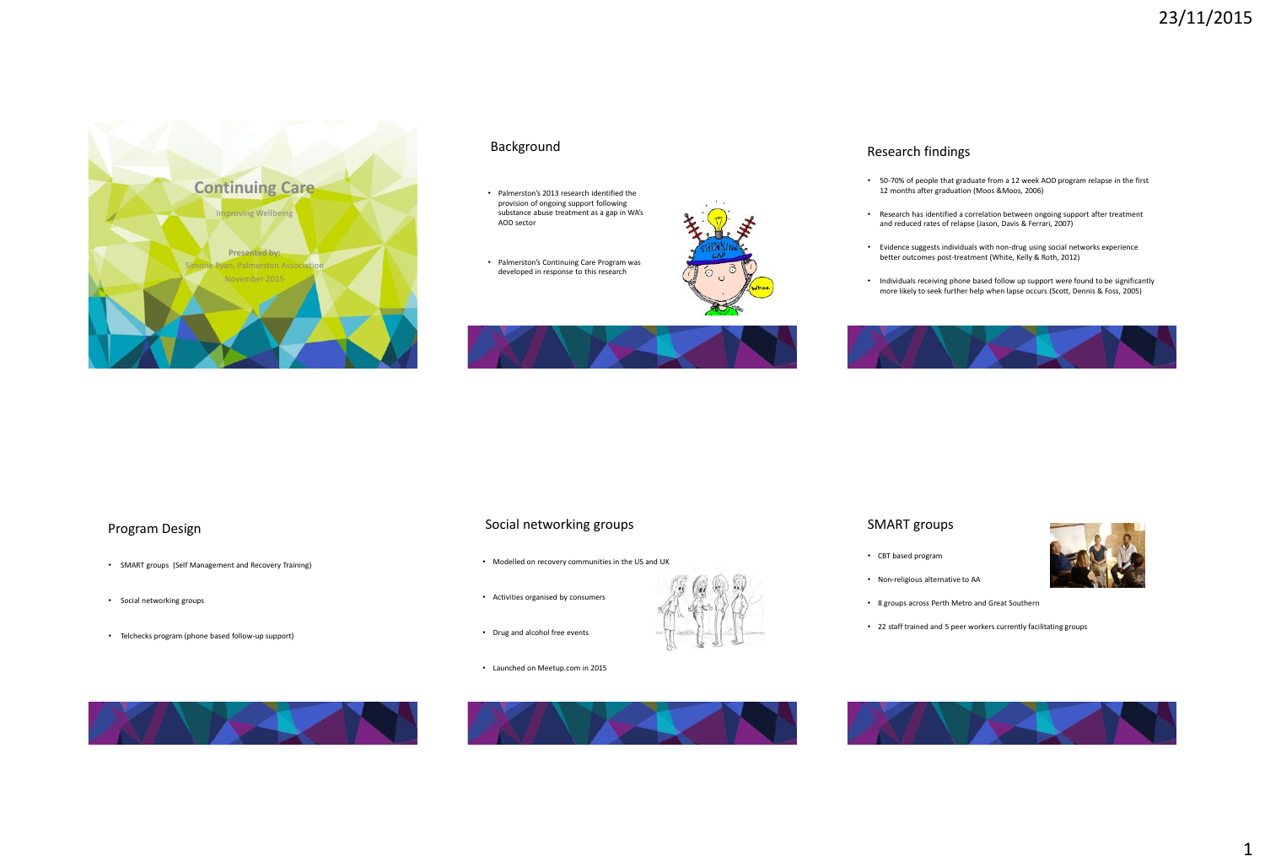

### Background

- Palmerston's 2013 research identified the provision of ongoing support following substance abuse treatment as a gap in WA's AOD sector
- Palmerston's Continuing Care Program was developed in response to this research





### Research findings

- 50-70% of people that graduate from a 12 week AOD program relapse in the first 12 months after graduation (Moos &Moos, 2006)
- Research has identified a correlation between ongoing support after treatment and reduced rates of relapse (Jason, Davis & Ferrari, 2007)
- Evidence suggests individuals with non-drug using social networks experience better outcomes post-treatment (White, Kelly & Roth, 2012)
- Individuals receiving phone based follow up support were found to be significantly more likely to seek further help when lapse occurs (Scott, Dennis & Foss, 2005)



## Program Design

- SMART groups (Self Management and Recovery Training)
- Social networking groups
- Telchecks program (phone based follow-up support)

# Social networking groups

- Modelled on recovery communities in the US and UK
- Activities organised by consumers
- Drug and alcohol free events
- Launched on Meetup.com in 2015





- CBT based program
- Non-religious alternative to AA
- 8 groups across Perth Metro and Great Southern
- 22 staff trained and 5 peer workers currently facilitating groups